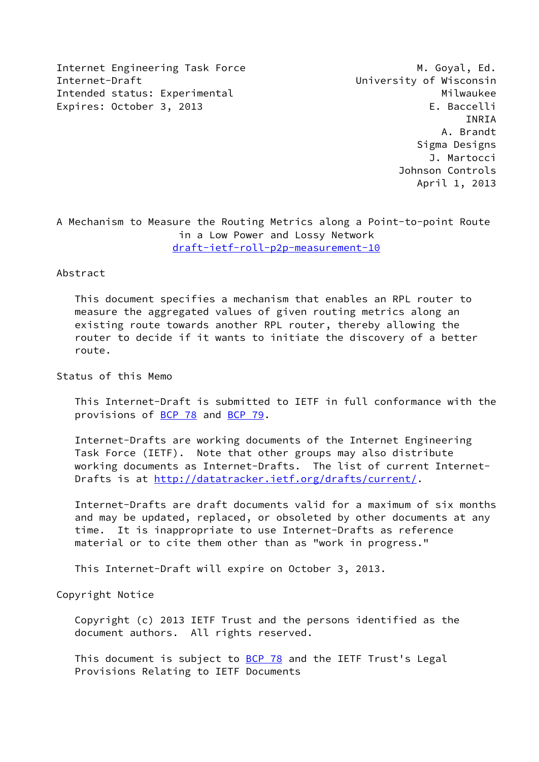Internet Engineering Task Force M. Goyal, Ed. Internet-Draft **Internet-Draft** Construction Construction Construction Construction Construction Construction Con Intended status: Experimental Milwaukee Expires: October 3, 2013 Expires: Calculation E. Baccelli

 INRIA A. Brandt Sigma Designs J. Martocci Johnson Controls April 1, 2013

A Mechanism to Measure the Routing Metrics along a Point-to-point Route in a Low Power and Lossy Network [draft-ietf-roll-p2p-measurement-10](https://datatracker.ietf.org/doc/pdf/draft-ietf-roll-p2p-measurement-10)

Abstract

 This document specifies a mechanism that enables an RPL router to measure the aggregated values of given routing metrics along an existing route towards another RPL router, thereby allowing the router to decide if it wants to initiate the discovery of a better route.

Status of this Memo

 This Internet-Draft is submitted to IETF in full conformance with the provisions of [BCP 78](https://datatracker.ietf.org/doc/pdf/bcp78) and [BCP 79](https://datatracker.ietf.org/doc/pdf/bcp79).

 Internet-Drafts are working documents of the Internet Engineering Task Force (IETF). Note that other groups may also distribute working documents as Internet-Drafts. The list of current Internet Drafts is at<http://datatracker.ietf.org/drafts/current/>.

 Internet-Drafts are draft documents valid for a maximum of six months and may be updated, replaced, or obsoleted by other documents at any time. It is inappropriate to use Internet-Drafts as reference material or to cite them other than as "work in progress."

This Internet-Draft will expire on October 3, 2013.

Copyright Notice

 Copyright (c) 2013 IETF Trust and the persons identified as the document authors. All rights reserved.

This document is subject to **[BCP 78](https://datatracker.ietf.org/doc/pdf/bcp78)** and the IETF Trust's Legal Provisions Relating to IETF Documents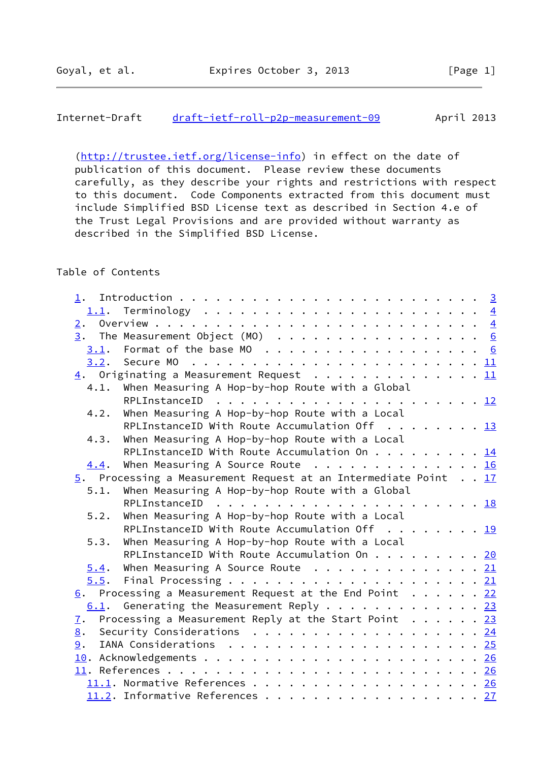# Internet-Draft [draft-ietf-roll-p2p-measurement-09](https://datatracker.ietf.org/doc/pdf/draft-ietf-roll-p2p-measurement-09) April 2013

[\(http://trustee.ietf.org/license-info](http://trustee.ietf.org/license-info)) in effect on the date of publication of this document. Please review these documents carefully, as they describe your rights and restrictions with respect to this document. Code Components extracted from this document must include Simplified BSD License text as described in Section 4.e of the Trust Legal Provisions and are provided without warranty as described in the Simplified BSD License.

# Table of Contents

| 1.               |                                                                 |  |
|------------------|-----------------------------------------------------------------|--|
|                  |                                                                 |  |
|                  |                                                                 |  |
|                  | $\frac{3}{2}$ . The Measurement Object (MO) 6                   |  |
|                  |                                                                 |  |
|                  |                                                                 |  |
|                  | 4. Originating a Measurement Request 11                         |  |
| 4.1.             | When Measuring A Hop-by-hop Route with a Global                 |  |
|                  |                                                                 |  |
| 4.2.             | When Measuring A Hop-by-hop Route with a Local                  |  |
|                  | RPLInstanceID With Route Accumulation Off $\dots \dots \dots$   |  |
| 4.3.             | When Measuring A Hop-by-hop Route with a Local                  |  |
|                  | RPLInstanceID With Route Accumulation On 14                     |  |
| 4.4.             | When Measuring A Source Route $\cdots$ 16                       |  |
|                  | 5. Processing a Measurement Request at an Intermediate Point 17 |  |
| 5.1.             | When Measuring A Hop-by-hop Route with a Global                 |  |
|                  | RPLInstanceID                                                   |  |
| 5.2.             | When Measuring A Hop-by-hop Route with a Local                  |  |
|                  | RPLInstanceID With Route Accumulation Off $\ldots$ 19           |  |
| 5.3.             | When Measuring A Hop-by-hop Route with a Local                  |  |
|                  | RPLInstanceID With Route Accumulation On 20                     |  |
| 5.4.             | When Measuring A Source Route $\cdots$ 21                       |  |
| 5.5.             |                                                                 |  |
|                  | $6.$ Processing a Measurement Request at the End Point 22       |  |
|                  | 6.1. Generating the Measurement Reply 23                        |  |
| $\overline{1}$ . | Processing a Measurement Reply at the Start Point $\ldots$ 23   |  |
| 8.               | Security Considerations $\cdots$ 24                             |  |
| 9.               |                                                                 |  |
|                  |                                                                 |  |
|                  |                                                                 |  |
|                  | 11.1. Normative References 26                                   |  |
|                  | 11.2. Informative References 27                                 |  |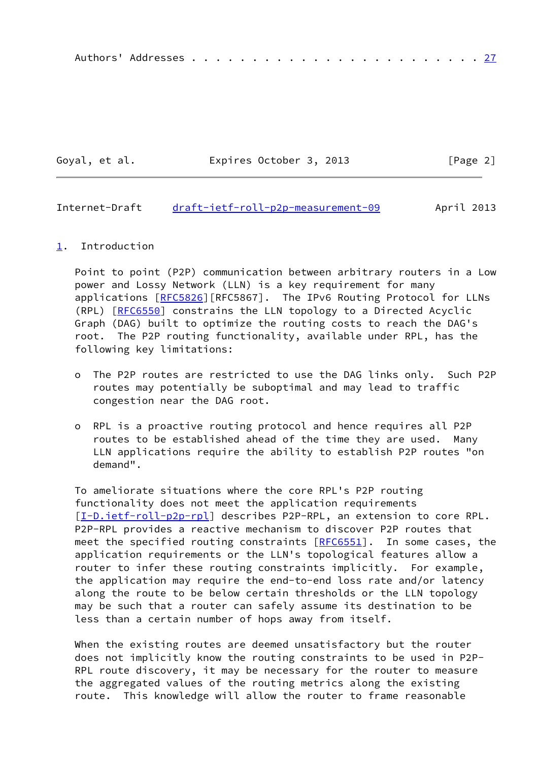|--|--|--|--|--|--|--|--|--|--|--|--|--|--|--|--|--|--|--|--|--|--|--|--|--|--|--|

Goyal, et al. **Expires October 3, 2013** [Page 2]

### <span id="page-2-1"></span>Internet-Draft [draft-ietf-roll-p2p-measurement-09](https://datatracker.ietf.org/doc/pdf/draft-ietf-roll-p2p-measurement-09) April 2013

#### <span id="page-2-0"></span>[1](#page-2-0). Introduction

 Point to point (P2P) communication between arbitrary routers in a Low power and Lossy Network (LLN) is a key requirement for many applications [\[RFC5826](https://datatracker.ietf.org/doc/pdf/rfc5826)][RFC5867]. The IPv6 Routing Protocol for LLNs (RPL) [[RFC6550](https://datatracker.ietf.org/doc/pdf/rfc6550)] constrains the LLN topology to a Directed Acyclic Graph (DAG) built to optimize the routing costs to reach the DAG's root. The P2P routing functionality, available under RPL, has the following key limitations:

- o The P2P routes are restricted to use the DAG links only. Such P2P routes may potentially be suboptimal and may lead to traffic congestion near the DAG root.
- o RPL is a proactive routing protocol and hence requires all P2P routes to be established ahead of the time they are used. Many LLN applications require the ability to establish P2P routes "on demand".

 To ameliorate situations where the core RPL's P2P routing functionality does not meet the application requirements [\[I-D.ietf-roll-p2p-rpl](#page-29-3)] describes P2P-RPL, an extension to core RPL. P2P-RPL provides a reactive mechanism to discover P2P routes that meet the specified routing constraints  $[REG551]$ . In some cases, the application requirements or the LLN's topological features allow a router to infer these routing constraints implicitly. For example, the application may require the end-to-end loss rate and/or latency along the route to be below certain thresholds or the LLN topology may be such that a router can safely assume its destination to be less than a certain number of hops away from itself.

When the existing routes are deemed unsatisfactory but the router does not implicitly know the routing constraints to be used in P2P- RPL route discovery, it may be necessary for the router to measure the aggregated values of the routing metrics along the existing route. This knowledge will allow the router to frame reasonable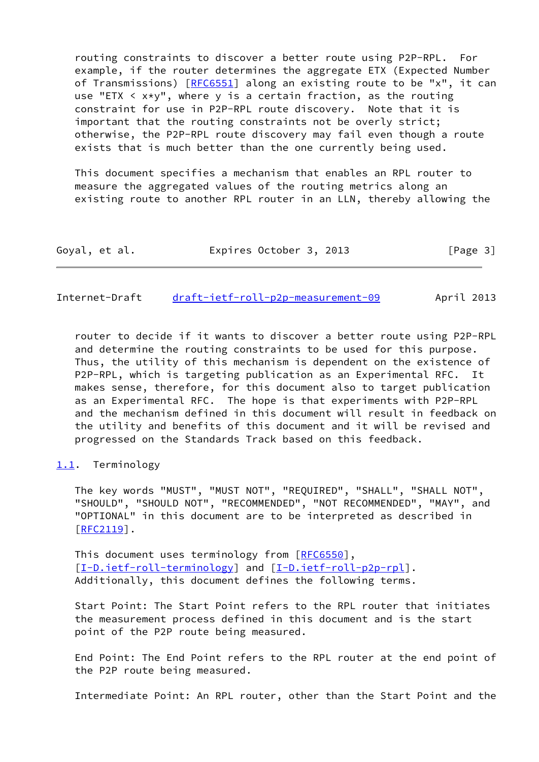routing constraints to discover a better route using P2P-RPL. For example, if the router determines the aggregate ETX (Expected Number of Transmissions) [[RFC6551](https://datatracker.ietf.org/doc/pdf/rfc6551)] along an existing route to be "x", it can use "ETX  $\leq x \times y$ ", where y is a certain fraction, as the routing constraint for use in P2P-RPL route discovery. Note that it is important that the routing constraints not be overly strict; otherwise, the P2P-RPL route discovery may fail even though a route exists that is much better than the one currently being used.

 This document specifies a mechanism that enables an RPL router to measure the aggregated values of the routing metrics along an existing route to another RPL router in an LLN, thereby allowing the

| Expires October 3, 2013<br>Goyal, et al. | [Page 3] |
|------------------------------------------|----------|
|------------------------------------------|----------|

<span id="page-3-1"></span>Internet-Draft [draft-ietf-roll-p2p-measurement-09](https://datatracker.ietf.org/doc/pdf/draft-ietf-roll-p2p-measurement-09) April 2013

 router to decide if it wants to discover a better route using P2P-RPL and determine the routing constraints to be used for this purpose. Thus, the utility of this mechanism is dependent on the existence of P2P-RPL, which is targeting publication as an Experimental RFC. It makes sense, therefore, for this document also to target publication as an Experimental RFC. The hope is that experiments with P2P-RPL and the mechanism defined in this document will result in feedback on the utility and benefits of this document and it will be revised and progressed on the Standards Track based on this feedback.

## <span id="page-3-0"></span>[1.1](#page-3-0). Terminology

 The key words "MUST", "MUST NOT", "REQUIRED", "SHALL", "SHALL NOT", "SHOULD", "SHOULD NOT", "RECOMMENDED", "NOT RECOMMENDED", "MAY", and "OPTIONAL" in this document are to be interpreted as described in [\[RFC2119](https://datatracker.ietf.org/doc/pdf/rfc2119)].

This document uses terminology from [\[RFC6550](https://datatracker.ietf.org/doc/pdf/rfc6550)], [\[I-D.ietf-roll-terminology](#page-29-4)] and [\[I-D.ietf-roll-p2p-rpl](#page-29-3)]. Additionally, this document defines the following terms.

 Start Point: The Start Point refers to the RPL router that initiates the measurement process defined in this document and is the start point of the P2P route being measured.

 End Point: The End Point refers to the RPL router at the end point of the P2P route being measured.

Intermediate Point: An RPL router, other than the Start Point and the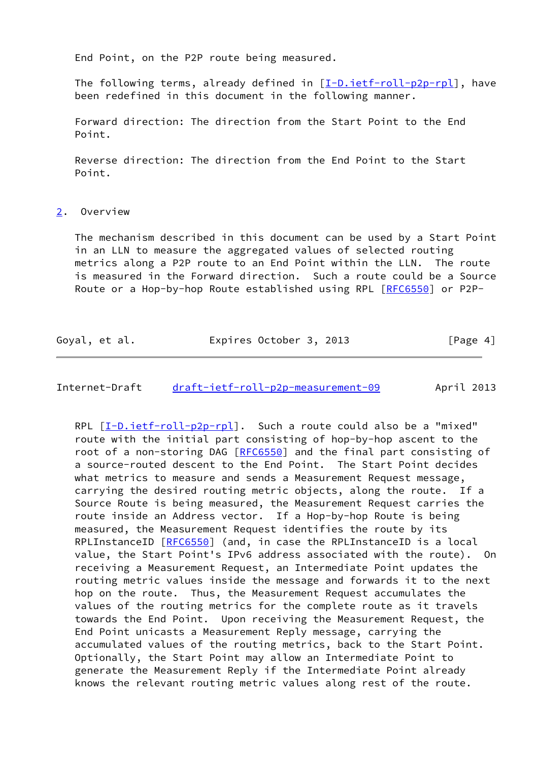End Point, on the P2P route being measured.

 The following terms, already defined in [\[I-D.ietf-roll-p2p-rpl](#page-29-3)], have been redefined in this document in the following manner.

 Forward direction: The direction from the Start Point to the End Point.

 Reverse direction: The direction from the End Point to the Start Point.

<span id="page-4-0"></span>[2](#page-4-0). Overview

 The mechanism described in this document can be used by a Start Point in an LLN to measure the aggregated values of selected routing metrics along a P2P route to an End Point within the LLN. The route is measured in the Forward direction. Such a route could be a Source Route or a Hop-by-hop Route established using RPL [[RFC6550](https://datatracker.ietf.org/doc/pdf/rfc6550)] or P2P-

| Goyal, et al. | Expires October 3, 2013 | [Page 4] |
|---------------|-------------------------|----------|
|---------------|-------------------------|----------|

# Internet-Draft [draft-ietf-roll-p2p-measurement-09](https://datatracker.ietf.org/doc/pdf/draft-ietf-roll-p2p-measurement-09) April 2013

 RPL [\[I-D.ietf-roll-p2p-rpl](#page-29-3)]. Such a route could also be a "mixed" route with the initial part consisting of hop-by-hop ascent to the root of a non-storing DAG [[RFC6550](https://datatracker.ietf.org/doc/pdf/rfc6550)] and the final part consisting of a source-routed descent to the End Point. The Start Point decides what metrics to measure and sends a Measurement Request message, carrying the desired routing metric objects, along the route. If a Source Route is being measured, the Measurement Request carries the route inside an Address vector. If a Hop-by-hop Route is being measured, the Measurement Request identifies the route by its RPLInstanceID [[RFC6550](https://datatracker.ietf.org/doc/pdf/rfc6550)] (and, in case the RPLInstanceID is a local value, the Start Point's IPv6 address associated with the route). On receiving a Measurement Request, an Intermediate Point updates the routing metric values inside the message and forwards it to the next hop on the route. Thus, the Measurement Request accumulates the values of the routing metrics for the complete route as it travels towards the End Point. Upon receiving the Measurement Request, the End Point unicasts a Measurement Reply message, carrying the accumulated values of the routing metrics, back to the Start Point. Optionally, the Start Point may allow an Intermediate Point to generate the Measurement Reply if the Intermediate Point already knows the relevant routing metric values along rest of the route.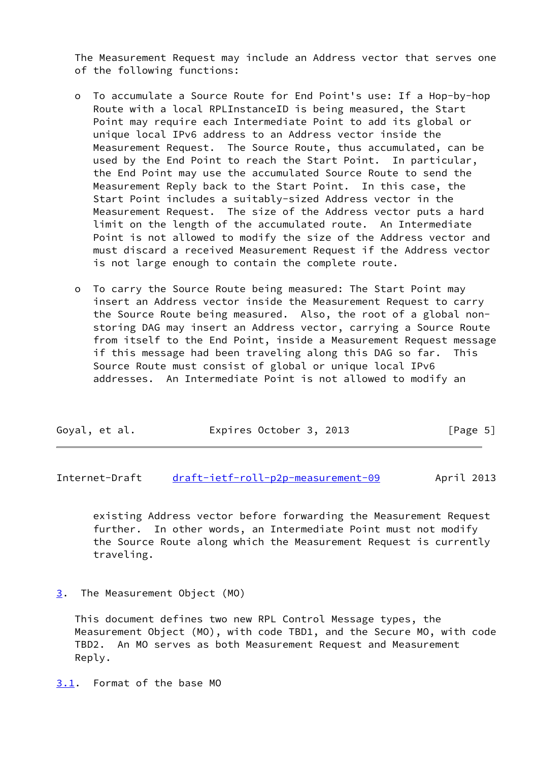The Measurement Request may include an Address vector that serves one of the following functions:

- o To accumulate a Source Route for End Point's use: If a Hop-by-hop Route with a local RPLInstanceID is being measured, the Start Point may require each Intermediate Point to add its global or unique local IPv6 address to an Address vector inside the Measurement Request. The Source Route, thus accumulated, can be used by the End Point to reach the Start Point. In particular, the End Point may use the accumulated Source Route to send the Measurement Reply back to the Start Point. In this case, the Start Point includes a suitably-sized Address vector in the Measurement Request. The size of the Address vector puts a hard limit on the length of the accumulated route. An Intermediate Point is not allowed to modify the size of the Address vector and must discard a received Measurement Request if the Address vector is not large enough to contain the complete route.
- o To carry the Source Route being measured: The Start Point may insert an Address vector inside the Measurement Request to carry the Source Route being measured. Also, the root of a global non storing DAG may insert an Address vector, carrying a Source Route from itself to the End Point, inside a Measurement Request message if this message had been traveling along this DAG so far. This Source Route must consist of global or unique local IPv6 addresses. An Intermediate Point is not allowed to modify an

| Goyal, et al. | Expires October 3, 2013 | [Page 5] |
|---------------|-------------------------|----------|
|---------------|-------------------------|----------|

<span id="page-5-1"></span>Internet-Draft [draft-ietf-roll-p2p-measurement-09](https://datatracker.ietf.org/doc/pdf/draft-ietf-roll-p2p-measurement-09) April 2013

 existing Address vector before forwarding the Measurement Request further. In other words, an Intermediate Point must not modify the Source Route along which the Measurement Request is currently traveling.

<span id="page-5-0"></span>[3](#page-5-0). The Measurement Object (MO)

 This document defines two new RPL Control Message types, the Measurement Object (MO), with code TBD1, and the Secure MO, with code TBD2. An MO serves as both Measurement Request and Measurement Reply.

<span id="page-5-2"></span>[3.1](#page-5-2). Format of the base MO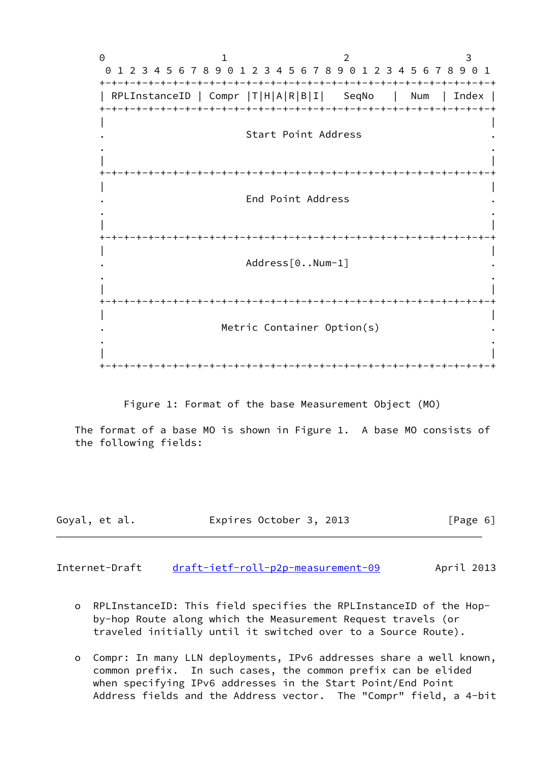0 1 2 3 0 1 2 3 4 5 6 7 8 9 0 1 2 3 4 5 6 7 8 9 0 1 2 3 4 5 6 7 8 9 0 1 +-+-+-+-+-+-+-+-+-+-+-+-+-+-+-+-+-+-+-+-+-+-+-+-+-+-+-+-+-+-+-+-+ | RPLInstanceID | Compr |T|H|A|R|B|I| SeqNo | Num | Index | +-+-+-+-+-+-+-+-+-+-+-+-+-+-+-+-+-+-+-+-+-+-+-+-+-+-+-+-+-+-+-+-+ | | . Start Point Address . . . | | +-+-+-+-+-+-+-+-+-+-+-+-+-+-+-+-+-+-+-+-+-+-+-+-+-+-+-+-+-+-+-+-+ | | . End Point Address . . . | | +-+-+-+-+-+-+-+-+-+-+-+-+-+-+-+-+-+-+-+-+-+-+-+-+-+-+-+-+-+-+-+-+ | | . Address[0..Num-1] . . . | | +-+-+-+-+-+-+-+-+-+-+-+-+-+-+-+-+-+-+-+-+-+-+-+-+-+-+-+-+-+-+-+-+ | | Metric Container Option(s) . . | | +-+-+-+-+-+-+-+-+-+-+-+-+-+-+-+-+-+-+-+-+-+-+-+-+-+-+-+-+-+-+-+-+

Figure 1: Format of the base Measurement Object (MO)

 The format of a base MO is shown in Figure 1. A base MO consists of the following fields:

| Goyal, et al. | Expires October 3, 2013 | [Page 6] |
|---------------|-------------------------|----------|
|               |                         |          |

Internet-Draft [draft-ietf-roll-p2p-measurement-09](https://datatracker.ietf.org/doc/pdf/draft-ietf-roll-p2p-measurement-09) April 2013

- o RPLInstanceID: This field specifies the RPLInstanceID of the Hop by-hop Route along which the Measurement Request travels (or traveled initially until it switched over to a Source Route).
- o Compr: In many LLN deployments, IPv6 addresses share a well known, common prefix. In such cases, the common prefix can be elided when specifying IPv6 addresses in the Start Point/End Point Address fields and the Address vector. The "Compr" field, a 4-bit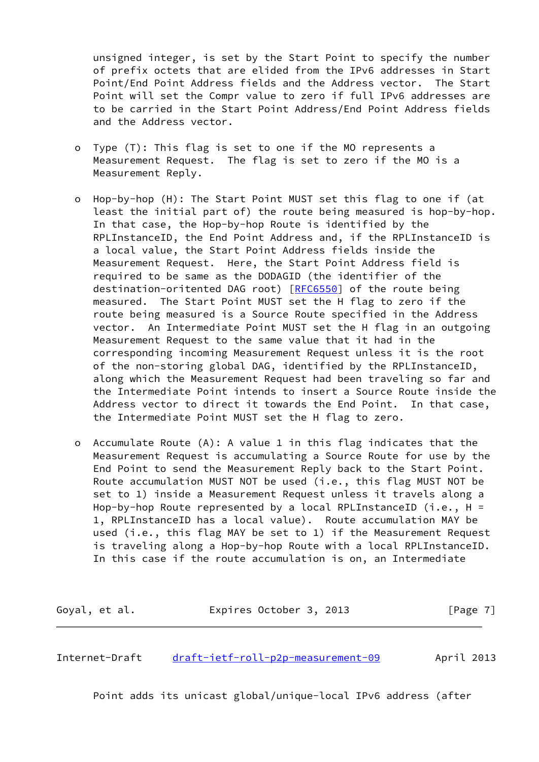unsigned integer, is set by the Start Point to specify the number of prefix octets that are elided from the IPv6 addresses in Start Point/End Point Address fields and the Address vector. The Start Point will set the Compr value to zero if full IPv6 addresses are to be carried in the Start Point Address/End Point Address fields and the Address vector.

- o Type (T): This flag is set to one if the MO represents a Measurement Request. The flag is set to zero if the MO is a Measurement Reply.
- o Hop-by-hop (H): The Start Point MUST set this flag to one if (at least the initial part of) the route being measured is hop-by-hop. In that case, the Hop-by-hop Route is identified by the RPLInstanceID, the End Point Address and, if the RPLInstanceID is a local value, the Start Point Address fields inside the Measurement Request. Here, the Start Point Address field is required to be same as the DODAGID (the identifier of the destination-oritented DAG root) [[RFC6550\]](https://datatracker.ietf.org/doc/pdf/rfc6550) of the route being measured. The Start Point MUST set the H flag to zero if the route being measured is a Source Route specified in the Address vector. An Intermediate Point MUST set the H flag in an outgoing Measurement Request to the same value that it had in the corresponding incoming Measurement Request unless it is the root of the non-storing global DAG, identified by the RPLInstanceID, along which the Measurement Request had been traveling so far and the Intermediate Point intends to insert a Source Route inside the Address vector to direct it towards the End Point. In that case, the Intermediate Point MUST set the H flag to zero.
- o Accumulate Route (A): A value 1 in this flag indicates that the Measurement Request is accumulating a Source Route for use by the End Point to send the Measurement Reply back to the Start Point. Route accumulation MUST NOT be used (i.e., this flag MUST NOT be set to 1) inside a Measurement Request unless it travels along a Hop-by-hop Route represented by a local RPLInstanceID (i.e.,  $H =$  1, RPLInstanceID has a local value). Route accumulation MAY be used (i.e., this flag MAY be set to 1) if the Measurement Request is traveling along a Hop-by-hop Route with a local RPLInstanceID. In this case if the route accumulation is on, an Intermediate

Goyal, et al. **Expires October 3, 2013** [Page 7]

Internet-Draft [draft-ietf-roll-p2p-measurement-09](https://datatracker.ietf.org/doc/pdf/draft-ietf-roll-p2p-measurement-09) April 2013

Point adds its unicast global/unique-local IPv6 address (after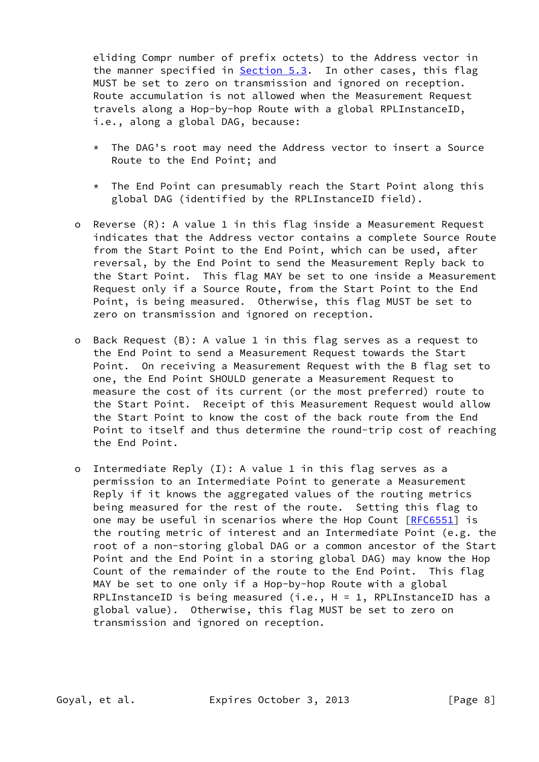eliding Compr number of prefix octets) to the Address vector in the manner specified in [Section 5.3](#page-21-1). In other cases, this flag MUST be set to zero on transmission and ignored on reception. Route accumulation is not allowed when the Measurement Request travels along a Hop-by-hop Route with a global RPLInstanceID, i.e., along a global DAG, because:

- \* The DAG's root may need the Address vector to insert a Source Route to the End Point; and
- \* The End Point can presumably reach the Start Point along this global DAG (identified by the RPLInstanceID field).
- o Reverse (R): A value 1 in this flag inside a Measurement Request indicates that the Address vector contains a complete Source Route from the Start Point to the End Point, which can be used, after reversal, by the End Point to send the Measurement Reply back to the Start Point. This flag MAY be set to one inside a Measurement Request only if a Source Route, from the Start Point to the End Point, is being measured. Otherwise, this flag MUST be set to zero on transmission and ignored on reception.
- o Back Request (B): A value 1 in this flag serves as a request to the End Point to send a Measurement Request towards the Start Point. On receiving a Measurement Request with the B flag set to one, the End Point SHOULD generate a Measurement Request to measure the cost of its current (or the most preferred) route to the Start Point. Receipt of this Measurement Request would allow the Start Point to know the cost of the back route from the End Point to itself and thus determine the round-trip cost of reaching the End Point.
- o Intermediate Reply (I): A value 1 in this flag serves as a permission to an Intermediate Point to generate a Measurement Reply if it knows the aggregated values of the routing metrics being measured for the rest of the route. Setting this flag to one may be useful in scenarios where the Hop Count [[RFC6551](https://datatracker.ietf.org/doc/pdf/rfc6551)] is the routing metric of interest and an Intermediate Point (e.g. the root of a non-storing global DAG or a common ancestor of the Start Point and the End Point in a storing global DAG) may know the Hop Count of the remainder of the route to the End Point. This flag MAY be set to one only if a Hop-by-hop Route with a global RPLInstanceID is being measured  $(i.e., H = 1, RPLInstanceID has a$  global value). Otherwise, this flag MUST be set to zero on transmission and ignored on reception.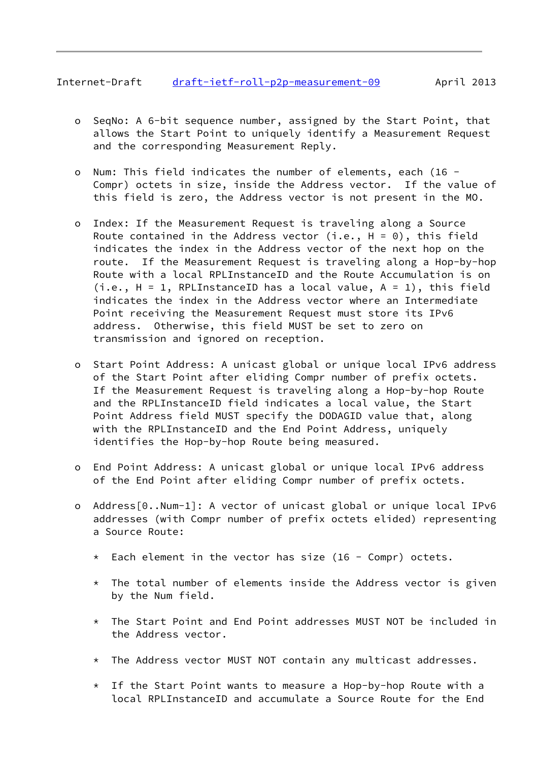# Internet-Draft [draft-ietf-roll-p2p-measurement-09](https://datatracker.ietf.org/doc/pdf/draft-ietf-roll-p2p-measurement-09) April 2013

- o SeqNo: A 6-bit sequence number, assigned by the Start Point, that allows the Start Point to uniquely identify a Measurement Request and the corresponding Measurement Reply.
- o Num: This field indicates the number of elements, each (16 Compr) octets in size, inside the Address vector. If the value of this field is zero, the Address vector is not present in the MO.
- o Index: If the Measurement Request is traveling along a Source Route contained in the Address vector (i.e.,  $H = 0$ ), this field indicates the index in the Address vector of the next hop on the route. If the Measurement Request is traveling along a Hop-by-hop Route with a local RPLInstanceID and the Route Accumulation is on  $(i.e., H = 1, RPLInstanceID has a local value, A = 1), this field$  indicates the index in the Address vector where an Intermediate Point receiving the Measurement Request must store its IPv6 address. Otherwise, this field MUST be set to zero on transmission and ignored on reception.
- o Start Point Address: A unicast global or unique local IPv6 address of the Start Point after eliding Compr number of prefix octets. If the Measurement Request is traveling along a Hop-by-hop Route and the RPLInstanceID field indicates a local value, the Start Point Address field MUST specify the DODAGID value that, along with the RPLInstanceID and the End Point Address, uniquely identifies the Hop-by-hop Route being measured.
- o End Point Address: A unicast global or unique local IPv6 address of the End Point after eliding Compr number of prefix octets.
- o Address[0..Num-1]: A vector of unicast global or unique local IPv6 addresses (with Compr number of prefix octets elided) representing a Source Route:
	- $*$  Each element in the vector has size (16 Compr) octets.
	- $*$  The total number of elements inside the Address vector is given by the Num field.
	- \* The Start Point and End Point addresses MUST NOT be included in the Address vector.
	- \* The Address vector MUST NOT contain any multicast addresses.
	- \* If the Start Point wants to measure a Hop-by-hop Route with a local RPLInstanceID and accumulate a Source Route for the End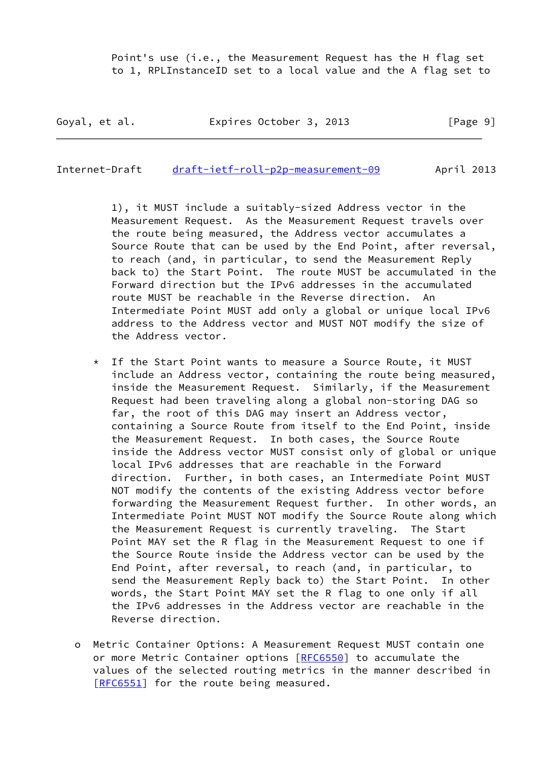Point's use (i.e., the Measurement Request has the H flag set to 1, RPLInstanceID set to a local value and the A flag set to

Goyal, et al. **Expires October 3, 2013** [Page 9]

Internet-Draft [draft-ietf-roll-p2p-measurement-09](https://datatracker.ietf.org/doc/pdf/draft-ietf-roll-p2p-measurement-09) April 2013

 1), it MUST include a suitably-sized Address vector in the Measurement Request. As the Measurement Request travels over the route being measured, the Address vector accumulates a Source Route that can be used by the End Point, after reversal, to reach (and, in particular, to send the Measurement Reply back to) the Start Point. The route MUST be accumulated in the Forward direction but the IPv6 addresses in the accumulated route MUST be reachable in the Reverse direction. An Intermediate Point MUST add only a global or unique local IPv6 address to the Address vector and MUST NOT modify the size of the Address vector.

- \* If the Start Point wants to measure a Source Route, it MUST include an Address vector, containing the route being measured, inside the Measurement Request. Similarly, if the Measurement Request had been traveling along a global non-storing DAG so far, the root of this DAG may insert an Address vector, containing a Source Route from itself to the End Point, inside the Measurement Request. In both cases, the Source Route inside the Address vector MUST consist only of global or unique local IPv6 addresses that are reachable in the Forward direction. Further, in both cases, an Intermediate Point MUST NOT modify the contents of the existing Address vector before forwarding the Measurement Request further. In other words, an Intermediate Point MUST NOT modify the Source Route along which the Measurement Request is currently traveling. The Start Point MAY set the R flag in the Measurement Request to one if the Source Route inside the Address vector can be used by the End Point, after reversal, to reach (and, in particular, to send the Measurement Reply back to) the Start Point. In other words, the Start Point MAY set the R flag to one only if all the IPv6 addresses in the Address vector are reachable in the Reverse direction.
- o Metric Container Options: A Measurement Request MUST contain one or more Metric Container options [\[RFC6550](https://datatracker.ietf.org/doc/pdf/rfc6550)] to accumulate the values of the selected routing metrics in the manner described in [[RFC6551\]](https://datatracker.ietf.org/doc/pdf/rfc6551) for the route being measured.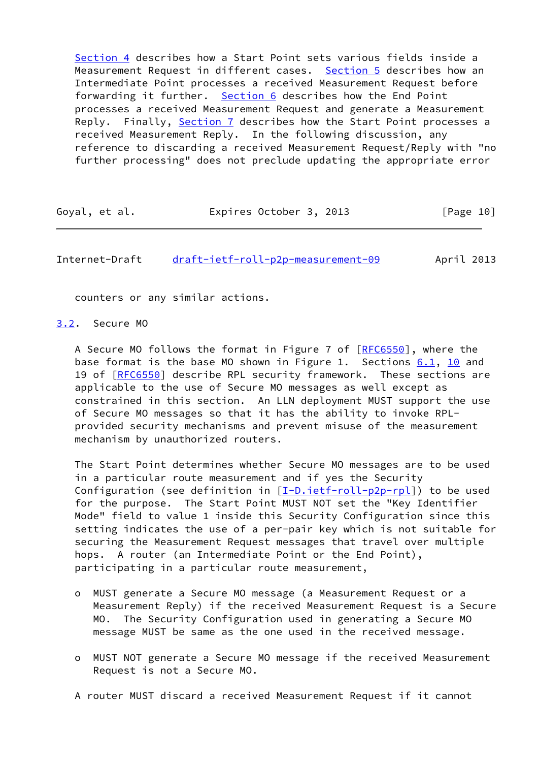[Section 4](#page-12-0) describes how a Start Point sets various fields inside a Measurement Request in different cases. [Section 5](#page-18-0) describes how an Intermediate Point processes a received Measurement Request before forwarding it further. [Section 6](#page-24-0) describes how the End Point processes a received Measurement Request and generate a Measurement Reply. Finally, [Section 7](#page-25-1) describes how the Start Point processes a received Measurement Reply. In the following discussion, any reference to discarding a received Measurement Request/Reply with "no further processing" does not preclude updating the appropriate error

| Goyal, et al. | Expires October 3, 2013 | [Page 10] |
|---------------|-------------------------|-----------|
|---------------|-------------------------|-----------|

<span id="page-11-1"></span>Internet-Draft [draft-ietf-roll-p2p-measurement-09](https://datatracker.ietf.org/doc/pdf/draft-ietf-roll-p2p-measurement-09) April 2013

counters or any similar actions.

<span id="page-11-0"></span>[3.2](#page-11-0). Secure MO

A Secure MO follows the format in Figure 7 of [[RFC6550](https://datatracker.ietf.org/doc/pdf/rfc6550)], where the base format is the base MO shown in Figure 1. Sections  $6.1$ ,  $10$  and 19 of [[RFC6550](https://datatracker.ietf.org/doc/pdf/rfc6550)] describe RPL security framework. These sections are applicable to the use of Secure MO messages as well except as constrained in this section. An LLN deployment MUST support the use of Secure MO messages so that it has the ability to invoke RPL provided security mechanisms and prevent misuse of the measurement mechanism by unauthorized routers.

 The Start Point determines whether Secure MO messages are to be used in a particular route measurement and if yes the Security Configuration (see definition in  $[I-D.iett-roll-p2p-rpl]$ ) to be used for the purpose. The Start Point MUST NOT set the "Key Identifier Mode" field to value 1 inside this Security Configuration since this setting indicates the use of a per-pair key which is not suitable for securing the Measurement Request messages that travel over multiple hops. A router (an Intermediate Point or the End Point), participating in a particular route measurement,

- o MUST generate a Secure MO message (a Measurement Request or a Measurement Reply) if the received Measurement Request is a Secure MO. The Security Configuration used in generating a Secure MO message MUST be same as the one used in the received message.
- o MUST NOT generate a Secure MO message if the received Measurement Request is not a Secure MO.
- A router MUST discard a received Measurement Request if it cannot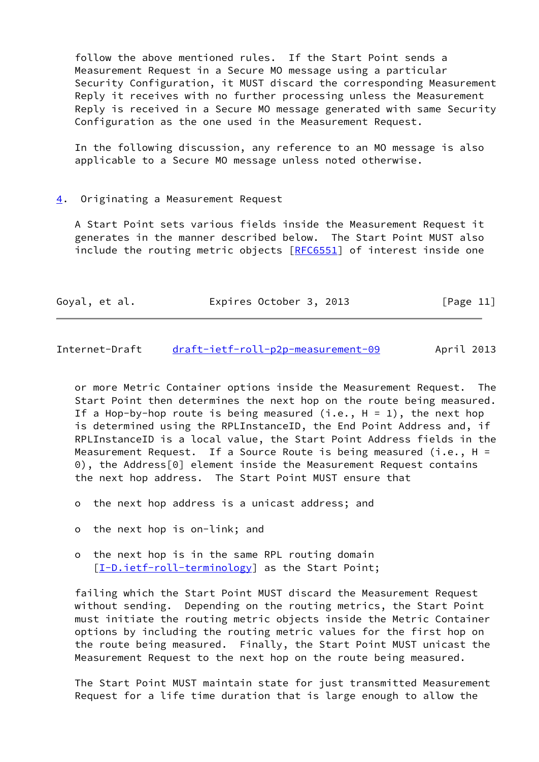follow the above mentioned rules. If the Start Point sends a Measurement Request in a Secure MO message using a particular Security Configuration, it MUST discard the corresponding Measurement Reply it receives with no further processing unless the Measurement Reply is received in a Secure MO message generated with same Security Configuration as the one used in the Measurement Request.

 In the following discussion, any reference to an MO message is also applicable to a Secure MO message unless noted otherwise.

### <span id="page-12-0"></span>[4](#page-12-0). Originating a Measurement Request

 A Start Point sets various fields inside the Measurement Request it generates in the manner described below. The Start Point MUST also include the routing metric objects [[RFC6551\]](https://datatracker.ietf.org/doc/pdf/rfc6551) of interest inside one

| Goyal, et al. | Expires October 3, 2013 | [Page 11] |
|---------------|-------------------------|-----------|
|---------------|-------------------------|-----------|

<span id="page-12-1"></span>Internet-Draft [draft-ietf-roll-p2p-measurement-09](https://datatracker.ietf.org/doc/pdf/draft-ietf-roll-p2p-measurement-09) April 2013

 or more Metric Container options inside the Measurement Request. The Start Point then determines the next hop on the route being measured. If a Hop-by-hop route is being measured (i.e.,  $H = 1$ ), the next hop is determined using the RPLInstanceID, the End Point Address and, if RPLInstanceID is a local value, the Start Point Address fields in the Measurement Request. If a Source Route is being measured (i.e.,  $H =$  0), the Address[0] element inside the Measurement Request contains the next hop address. The Start Point MUST ensure that

- o the next hop address is a unicast address; and
- o the next hop is on-link; and
- o the next hop is in the same RPL routing domain [[I-D.ietf-roll-terminology\]](#page-29-4) as the Start Point;

 failing which the Start Point MUST discard the Measurement Request without sending. Depending on the routing metrics, the Start Point must initiate the routing metric objects inside the Metric Container options by including the routing metric values for the first hop on the route being measured. Finally, the Start Point MUST unicast the Measurement Request to the next hop on the route being measured.

 The Start Point MUST maintain state for just transmitted Measurement Request for a life time duration that is large enough to allow the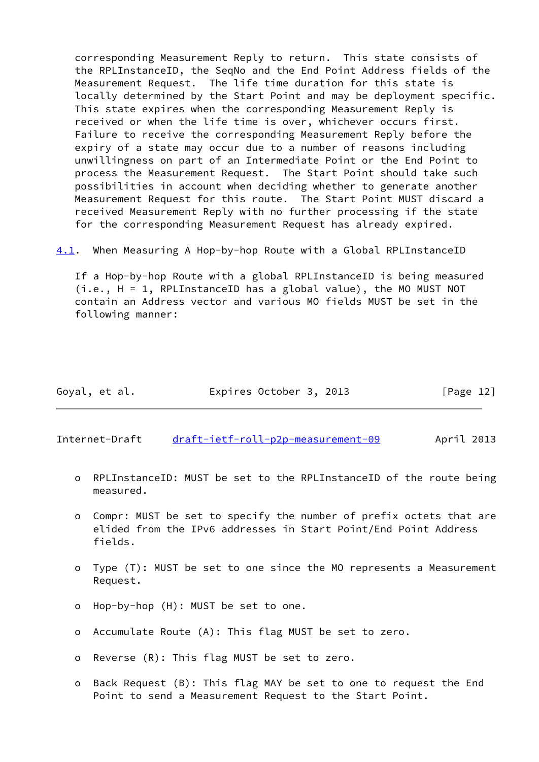corresponding Measurement Reply to return. This state consists of the RPLInstanceID, the SeqNo and the End Point Address fields of the Measurement Request. The life time duration for this state is locally determined by the Start Point and may be deployment specific. This state expires when the corresponding Measurement Reply is received or when the life time is over, whichever occurs first. Failure to receive the corresponding Measurement Reply before the expiry of a state may occur due to a number of reasons including unwillingness on part of an Intermediate Point or the End Point to process the Measurement Request. The Start Point should take such possibilities in account when deciding whether to generate another Measurement Request for this route. The Start Point MUST discard a received Measurement Reply with no further processing if the state for the corresponding Measurement Request has already expired.

<span id="page-13-1"></span>[4.1](#page-13-1). When Measuring A Hop-by-hop Route with a Global RPLInstanceID

 If a Hop-by-hop Route with a global RPLInstanceID is being measured (i.e., H = 1, RPLInstanceID has a global value), the MO MUST NOT contain an Address vector and various MO fields MUST be set in the following manner:

| Goyal, et al. | Expires October 3, 2013 | [Page 12] |
|---------------|-------------------------|-----------|
|---------------|-------------------------|-----------|

<span id="page-13-0"></span>Internet-Draft [draft-ietf-roll-p2p-measurement-09](https://datatracker.ietf.org/doc/pdf/draft-ietf-roll-p2p-measurement-09) April 2013

- o RPLInstanceID: MUST be set to the RPLInstanceID of the route being measured.
- o Compr: MUST be set to specify the number of prefix octets that are elided from the IPv6 addresses in Start Point/End Point Address fields.
- o Type (T): MUST be set to one since the MO represents a Measurement Request.
- o Hop-by-hop (H): MUST be set to one.
- o Accumulate Route (A): This flag MUST be set to zero.
- o Reverse (R): This flag MUST be set to zero.
- o Back Request (B): This flag MAY be set to one to request the End Point to send a Measurement Request to the Start Point.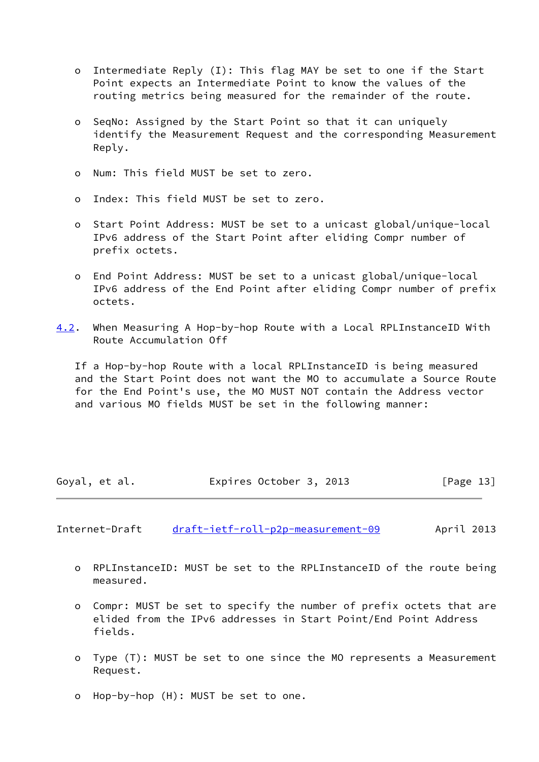- o Intermediate Reply (I): This flag MAY be set to one if the Start Point expects an Intermediate Point to know the values of the routing metrics being measured for the remainder of the route.
- o SeqNo: Assigned by the Start Point so that it can uniquely identify the Measurement Request and the corresponding Measurement Reply.
- o Num: This field MUST be set to zero.
- o Index: This field MUST be set to zero.
- o Start Point Address: MUST be set to a unicast global/unique-local IPv6 address of the Start Point after eliding Compr number of prefix octets.
- o End Point Address: MUST be set to a unicast global/unique-local IPv6 address of the End Point after eliding Compr number of prefix octets.
- <span id="page-14-1"></span>[4.2](#page-14-1). When Measuring A Hop-by-hop Route with a Local RPLInstanceID With Route Accumulation Off

 If a Hop-by-hop Route with a local RPLInstanceID is being measured and the Start Point does not want the MO to accumulate a Source Route for the End Point's use, the MO MUST NOT contain the Address vector and various MO fields MUST be set in the following manner:

| Goyal, et al. | Expires October 3, 2013 | [Page 13] |
|---------------|-------------------------|-----------|
|---------------|-------------------------|-----------|

<span id="page-14-0"></span>Internet-Draft [draft-ietf-roll-p2p-measurement-09](https://datatracker.ietf.org/doc/pdf/draft-ietf-roll-p2p-measurement-09) April 2013

- o RPLInstanceID: MUST be set to the RPLInstanceID of the route being measured.
- o Compr: MUST be set to specify the number of prefix octets that are elided from the IPv6 addresses in Start Point/End Point Address fields.
- o Type (T): MUST be set to one since the MO represents a Measurement Request.
- o Hop-by-hop (H): MUST be set to one.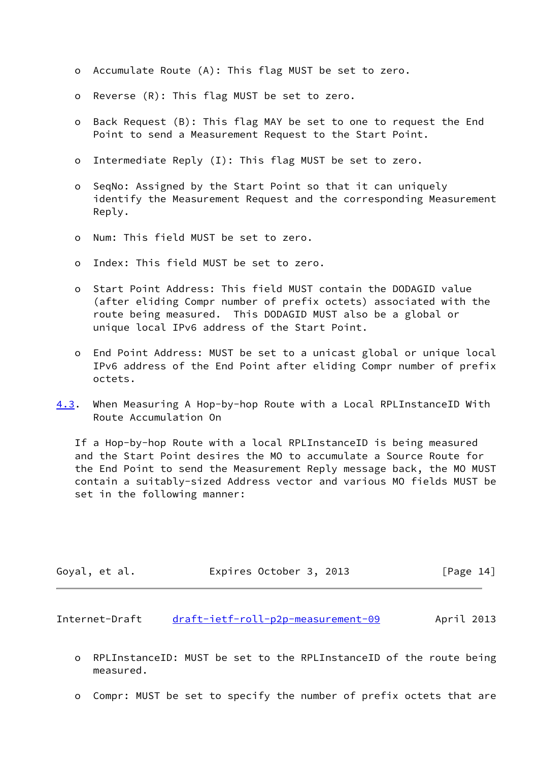- o Accumulate Route (A): This flag MUST be set to zero.
- o Reverse (R): This flag MUST be set to zero.
- o Back Request (B): This flag MAY be set to one to request the End Point to send a Measurement Request to the Start Point.
- o Intermediate Reply (I): This flag MUST be set to zero.
- o SeqNo: Assigned by the Start Point so that it can uniquely identify the Measurement Request and the corresponding Measurement Reply.
- o Num: This field MUST be set to zero.
- o Index: This field MUST be set to zero.
- o Start Point Address: This field MUST contain the DODAGID value (after eliding Compr number of prefix octets) associated with the route being measured. This DODAGID MUST also be a global or unique local IPv6 address of the Start Point.
- o End Point Address: MUST be set to a unicast global or unique local IPv6 address of the End Point after eliding Compr number of prefix octets.
- <span id="page-15-0"></span>[4.3](#page-15-0). When Measuring A Hop-by-hop Route with a Local RPLInstanceID With Route Accumulation On

 If a Hop-by-hop Route with a local RPLInstanceID is being measured and the Start Point desires the MO to accumulate a Source Route for the End Point to send the Measurement Reply message back, the MO MUST contain a suitably-sized Address vector and various MO fields MUST be set in the following manner:

| Goyal, et al. | Expires October 3, 2013 | [Page 14] |
|---------------|-------------------------|-----------|
|---------------|-------------------------|-----------|

Internet-Draft [draft-ietf-roll-p2p-measurement-09](https://datatracker.ietf.org/doc/pdf/draft-ietf-roll-p2p-measurement-09) April 2013

- o RPLInstanceID: MUST be set to the RPLInstanceID of the route being measured.
- o Compr: MUST be set to specify the number of prefix octets that are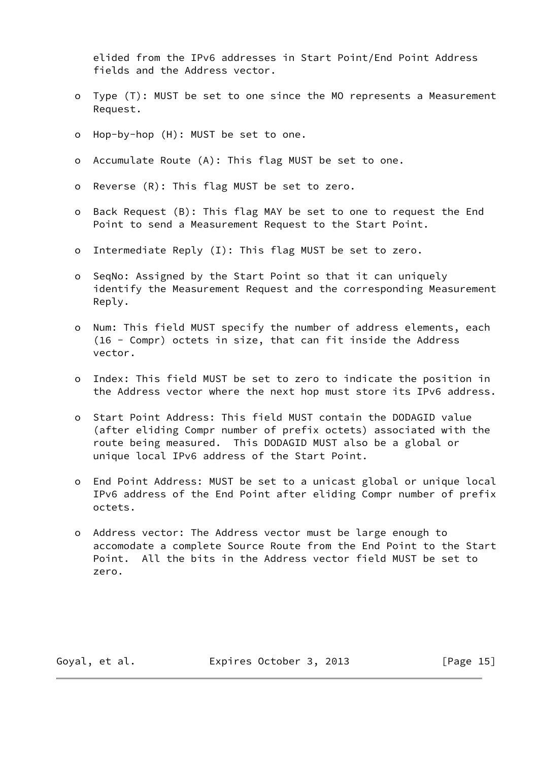elided from the IPv6 addresses in Start Point/End Point Address fields and the Address vector.

- o Type (T): MUST be set to one since the MO represents a Measurement Request.
- o Hop-by-hop (H): MUST be set to one.
- o Accumulate Route (A): This flag MUST be set to one.
- o Reverse (R): This flag MUST be set to zero.
- o Back Request (B): This flag MAY be set to one to request the End Point to send a Measurement Request to the Start Point.
- o Intermediate Reply (I): This flag MUST be set to zero.
- o SeqNo: Assigned by the Start Point so that it can uniquely identify the Measurement Request and the corresponding Measurement Reply.
- o Num: This field MUST specify the number of address elements, each (16 - Compr) octets in size, that can fit inside the Address vector.
- o Index: This field MUST be set to zero to indicate the position in the Address vector where the next hop must store its IPv6 address.
- o Start Point Address: This field MUST contain the DODAGID value (after eliding Compr number of prefix octets) associated with the route being measured. This DODAGID MUST also be a global or unique local IPv6 address of the Start Point.
- o End Point Address: MUST be set to a unicast global or unique local IPv6 address of the End Point after eliding Compr number of prefix octets.
- o Address vector: The Address vector must be large enough to accomodate a complete Source Route from the End Point to the Start Point. All the bits in the Address vector field MUST be set to zero.

Goyal, et al. **Expires October 3, 2013** [Page 15]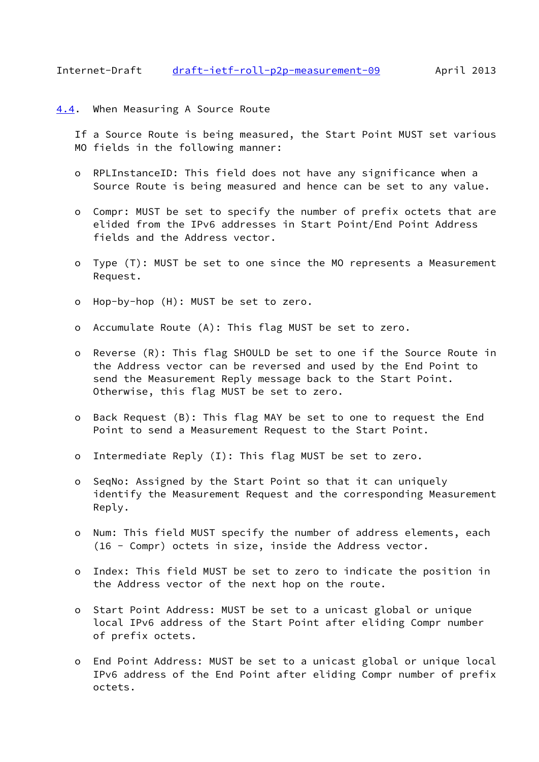<span id="page-17-1"></span><span id="page-17-0"></span> If a Source Route is being measured, the Start Point MUST set various MO fields in the following manner:

- o RPLInstanceID: This field does not have any significance when a Source Route is being measured and hence can be set to any value.
- o Compr: MUST be set to specify the number of prefix octets that are elided from the IPv6 addresses in Start Point/End Point Address fields and the Address vector.
- o Type (T): MUST be set to one since the MO represents a Measurement Request.
- o Hop-by-hop (H): MUST be set to zero.
- o Accumulate Route (A): This flag MUST be set to zero.
- o Reverse (R): This flag SHOULD be set to one if the Source Route in the Address vector can be reversed and used by the End Point to send the Measurement Reply message back to the Start Point. Otherwise, this flag MUST be set to zero.
- o Back Request (B): This flag MAY be set to one to request the End Point to send a Measurement Request to the Start Point.
- o Intermediate Reply (I): This flag MUST be set to zero.
- o SeqNo: Assigned by the Start Point so that it can uniquely identify the Measurement Request and the corresponding Measurement Reply.
- o Num: This field MUST specify the number of address elements, each (16 - Compr) octets in size, inside the Address vector.
- o Index: This field MUST be set to zero to indicate the position in the Address vector of the next hop on the route.
- o Start Point Address: MUST be set to a unicast global or unique local IPv6 address of the Start Point after eliding Compr number of prefix octets.
- o End Point Address: MUST be set to a unicast global or unique local IPv6 address of the End Point after eliding Compr number of prefix octets.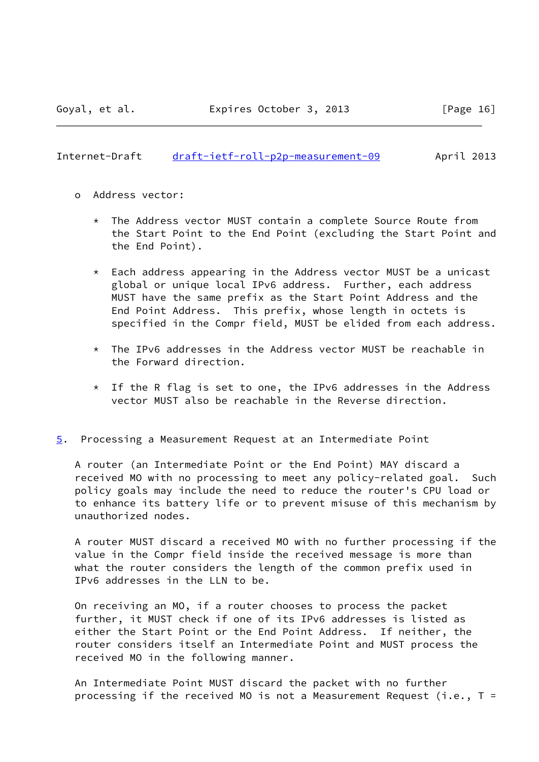<span id="page-18-1"></span>Internet-Draft [draft-ietf-roll-p2p-measurement-09](https://datatracker.ietf.org/doc/pdf/draft-ietf-roll-p2p-measurement-09) April 2013

- o Address vector:
	- \* The Address vector MUST contain a complete Source Route from the Start Point to the End Point (excluding the Start Point and the End Point).
	- \* Each address appearing in the Address vector MUST be a unicast global or unique local IPv6 address. Further, each address MUST have the same prefix as the Start Point Address and the End Point Address. This prefix, whose length in octets is specified in the Compr field, MUST be elided from each address.
	- \* The IPv6 addresses in the Address vector MUST be reachable in the Forward direction.
	- \* If the R flag is set to one, the IPv6 addresses in the Address vector MUST also be reachable in the Reverse direction.
- <span id="page-18-0"></span>[5](#page-18-0). Processing a Measurement Request at an Intermediate Point

 A router (an Intermediate Point or the End Point) MAY discard a received MO with no processing to meet any policy-related goal. Such policy goals may include the need to reduce the router's CPU load or to enhance its battery life or to prevent misuse of this mechanism by unauthorized nodes.

 A router MUST discard a received MO with no further processing if the value in the Compr field inside the received message is more than what the router considers the length of the common prefix used in IPv6 addresses in the LLN to be.

 On receiving an MO, if a router chooses to process the packet further, it MUST check if one of its IPv6 addresses is listed as either the Start Point or the End Point Address. If neither, the router considers itself an Intermediate Point and MUST process the received MO in the following manner.

 An Intermediate Point MUST discard the packet with no further processing if the received MO is not a Measurement Request (i.e.,  $T =$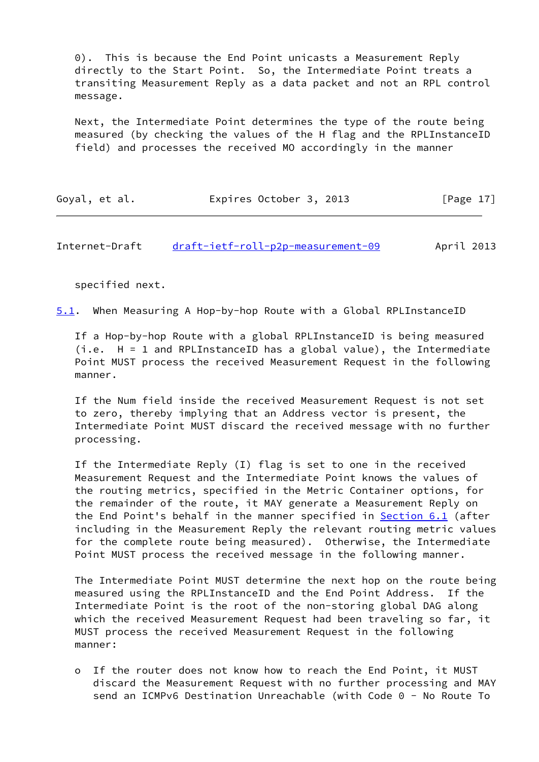0). This is because the End Point unicasts a Measurement Reply directly to the Start Point. So, the Intermediate Point treats a transiting Measurement Reply as a data packet and not an RPL control message.

 Next, the Intermediate Point determines the type of the route being measured (by checking the values of the H flag and the RPLInstanceID field) and processes the received MO accordingly in the manner

| Goyal, et al. | Expires October 3, 2013 | [Page 17] |
|---------------|-------------------------|-----------|
|---------------|-------------------------|-----------|

<span id="page-19-0"></span>Internet-Draft [draft-ietf-roll-p2p-measurement-09](https://datatracker.ietf.org/doc/pdf/draft-ietf-roll-p2p-measurement-09) April 2013

specified next.

<span id="page-19-1"></span>[5.1](#page-19-1). When Measuring A Hop-by-hop Route with a Global RPLInstanceID

 If a Hop-by-hop Route with a global RPLInstanceID is being measured (i.e. H = 1 and RPLInstanceID has a global value), the Intermediate Point MUST process the received Measurement Request in the following manner.

 If the Num field inside the received Measurement Request is not set to zero, thereby implying that an Address vector is present, the Intermediate Point MUST discard the received message with no further processing.

 If the Intermediate Reply (I) flag is set to one in the received Measurement Request and the Intermediate Point knows the values of the routing metrics, specified in the Metric Container options, for the remainder of the route, it MAY generate a Measurement Reply on the End Point's behalf in the manner specified in [Section 6.1](#page-25-0) (after including in the Measurement Reply the relevant routing metric values for the complete route being measured). Otherwise, the Intermediate Point MUST process the received message in the following manner.

 The Intermediate Point MUST determine the next hop on the route being measured using the RPLInstanceID and the End Point Address. If the Intermediate Point is the root of the non-storing global DAG along which the received Measurement Request had been traveling so far, it MUST process the received Measurement Request in the following manner:

 o If the router does not know how to reach the End Point, it MUST discard the Measurement Request with no further processing and MAY send an ICMPv6 Destination Unreachable (with Code 0 - No Route To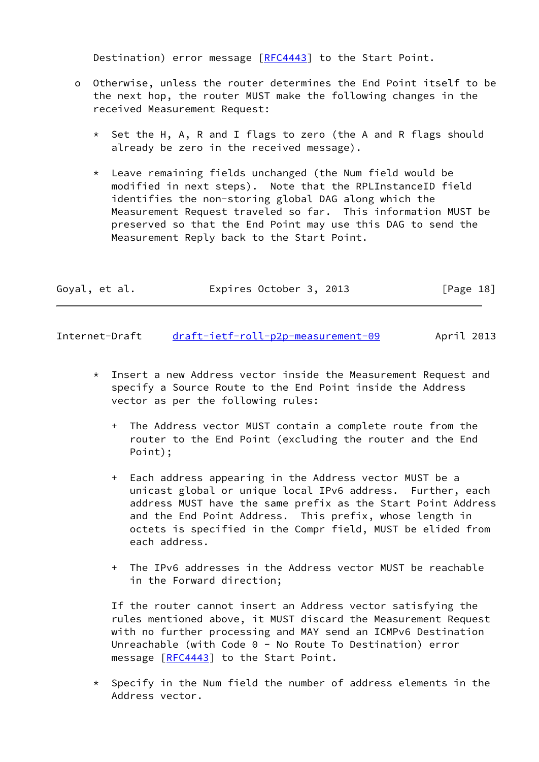Destination) error message [[RFC4443](https://datatracker.ietf.org/doc/pdf/rfc4443)] to the Start Point.

- o Otherwise, unless the router determines the End Point itself to be the next hop, the router MUST make the following changes in the received Measurement Request:
	- \* Set the H, A, R and I flags to zero (the A and R flags should already be zero in the received message).
	- \* Leave remaining fields unchanged (the Num field would be modified in next steps). Note that the RPLInstanceID field identifies the non-storing global DAG along which the Measurement Request traveled so far. This information MUST be preserved so that the End Point may use this DAG to send the Measurement Reply back to the Start Point.

| Expires October 3, 2013<br>[Page 18]<br>Goyal, et al. |  |
|-------------------------------------------------------|--|
|-------------------------------------------------------|--|

<span id="page-20-0"></span>Internet-Draft [draft-ietf-roll-p2p-measurement-09](https://datatracker.ietf.org/doc/pdf/draft-ietf-roll-p2p-measurement-09) April 2013

- \* Insert a new Address vector inside the Measurement Request and specify a Source Route to the End Point inside the Address vector as per the following rules:
	- + The Address vector MUST contain a complete route from the router to the End Point (excluding the router and the End Point);
	- + Each address appearing in the Address vector MUST be a unicast global or unique local IPv6 address. Further, each address MUST have the same prefix as the Start Point Address and the End Point Address. This prefix, whose length in octets is specified in the Compr field, MUST be elided from each address.
	- + The IPv6 addresses in the Address vector MUST be reachable in the Forward direction;

 If the router cannot insert an Address vector satisfying the rules mentioned above, it MUST discard the Measurement Request with no further processing and MAY send an ICMPv6 Destination Unreachable (with Code 0 - No Route To Destination) error message  $[REC4443]$  to the Start Point.

 $*$  Specify in the Num field the number of address elements in the Address vector.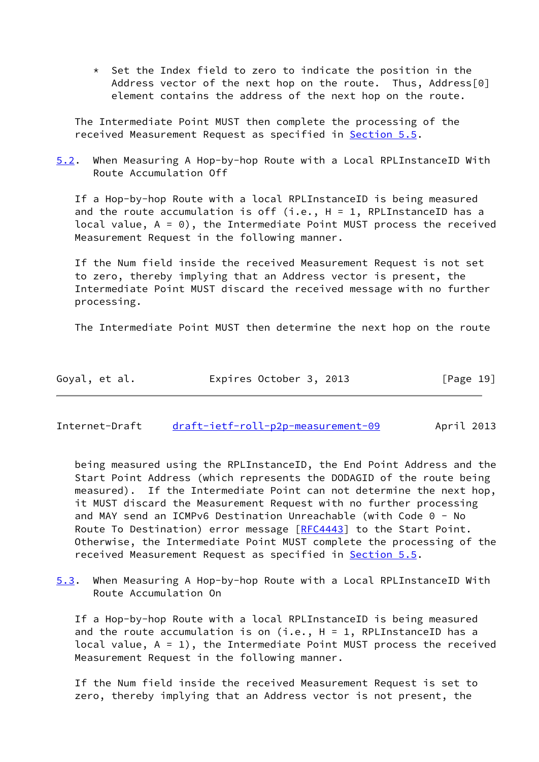$*$  Set the Index field to zero to indicate the position in the Address vector of the next hop on the route. Thus, Address[0] element contains the address of the next hop on the route.

 The Intermediate Point MUST then complete the processing of the received Measurement Request as specified in [Section 5.5](#page-23-0).

<span id="page-21-2"></span>[5.2](#page-21-2). When Measuring A Hop-by-hop Route with a Local RPLInstanceID With Route Accumulation Off

 If a Hop-by-hop Route with a local RPLInstanceID is being measured and the route accumulation is off (i.e.,  $H = 1$ , RPLInstanceID has a local value,  $A = 0$ ), the Intermediate Point MUST process the received Measurement Request in the following manner.

 If the Num field inside the received Measurement Request is not set to zero, thereby implying that an Address vector is present, the Intermediate Point MUST discard the received message with no further processing.

The Intermediate Point MUST then determine the next hop on the route

| Goyal, et al. | Expires October 3, 2013 | [Page 19] |
|---------------|-------------------------|-----------|
|---------------|-------------------------|-----------|

<span id="page-21-0"></span>Internet-Draft [draft-ietf-roll-p2p-measurement-09](https://datatracker.ietf.org/doc/pdf/draft-ietf-roll-p2p-measurement-09) April 2013

 being measured using the RPLInstanceID, the End Point Address and the Start Point Address (which represents the DODAGID of the route being measured). If the Intermediate Point can not determine the next hop, it MUST discard the Measurement Request with no further processing and MAY send an ICMPv6 Destination Unreachable (with Code 0 - No Route To Destination) error message [\[RFC4443](https://datatracker.ietf.org/doc/pdf/rfc4443)] to the Start Point. Otherwise, the Intermediate Point MUST complete the processing of the received Measurement Request as specified in [Section 5.5](#page-23-0).

<span id="page-21-1"></span>[5.3](#page-21-1). When Measuring A Hop-by-hop Route with a Local RPLInstanceID With Route Accumulation On

 If a Hop-by-hop Route with a local RPLInstanceID is being measured and the route accumulation is on  $(i.e., H = 1, RPLInstanceID has a$ local value,  $A = 1$ ), the Intermediate Point MUST process the received Measurement Request in the following manner.

 If the Num field inside the received Measurement Request is set to zero, thereby implying that an Address vector is not present, the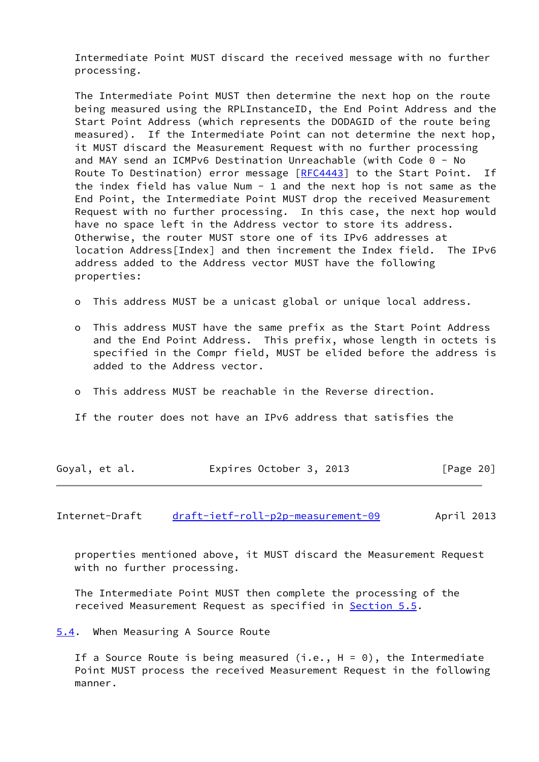Intermediate Point MUST discard the received message with no further processing.

 The Intermediate Point MUST then determine the next hop on the route being measured using the RPLInstanceID, the End Point Address and the Start Point Address (which represents the DODAGID of the route being measured). If the Intermediate Point can not determine the next hop, it MUST discard the Measurement Request with no further processing and MAY send an ICMPv6 Destination Unreachable (with Code 0 - No Route To Destination) error message [\[RFC4443](https://datatracker.ietf.org/doc/pdf/rfc4443)] to the Start Point. If the index field has value Num - 1 and the next hop is not same as the End Point, the Intermediate Point MUST drop the received Measurement Request with no further processing. In this case, the next hop would have no space left in the Address vector to store its address. Otherwise, the router MUST store one of its IPv6 addresses at location Address[Index] and then increment the Index field. The IPv6 address added to the Address vector MUST have the following properties:

- o This address MUST be a unicast global or unique local address.
- o This address MUST have the same prefix as the Start Point Address and the End Point Address. This prefix, whose length in octets is specified in the Compr field, MUST be elided before the address is added to the Address vector.
- o This address MUST be reachable in the Reverse direction.
- If the router does not have an IPv6 address that satisfies the

| Goyal, et al. | Expires October 3, 2013 | [Page 20] |
|---------------|-------------------------|-----------|
|---------------|-------------------------|-----------|

<span id="page-22-1"></span>Internet-Draft [draft-ietf-roll-p2p-measurement-09](https://datatracker.ietf.org/doc/pdf/draft-ietf-roll-p2p-measurement-09) April 2013

 properties mentioned above, it MUST discard the Measurement Request with no further processing.

 The Intermediate Point MUST then complete the processing of the received Measurement Request as specified in **Section 5.5**.

<span id="page-22-0"></span>[5.4](#page-22-0). When Measuring A Source Route

If a Source Route is being measured (i.e.,  $H = 0$ ), the Intermediate Point MUST process the received Measurement Request in the following manner.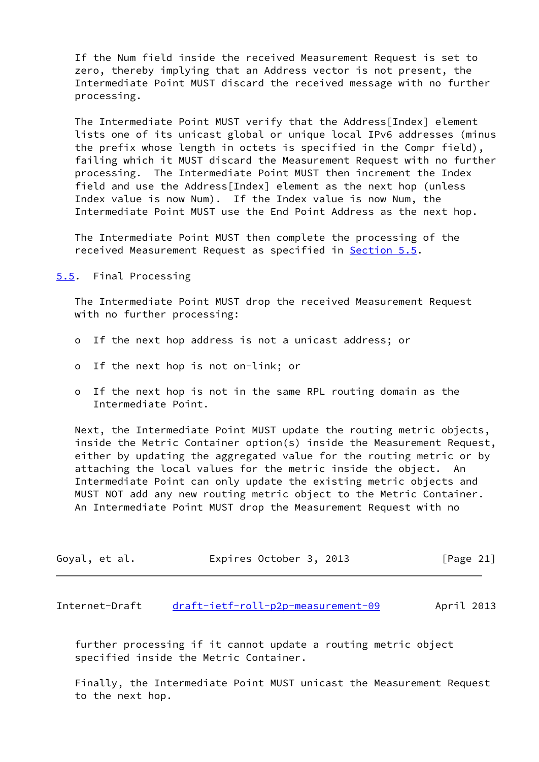If the Num field inside the received Measurement Request is set to zero, thereby implying that an Address vector is not present, the Intermediate Point MUST discard the received message with no further processing.

 The Intermediate Point MUST verify that the Address[Index] element lists one of its unicast global or unique local IPv6 addresses (minus the prefix whose length in octets is specified in the Compr field), failing which it MUST discard the Measurement Request with no further processing. The Intermediate Point MUST then increment the Index field and use the Address[Index] element as the next hop (unless Index value is now Num). If the Index value is now Num, the Intermediate Point MUST use the End Point Address as the next hop.

 The Intermediate Point MUST then complete the processing of the received Measurement Request as specified in [Section 5.5](#page-23-0).

<span id="page-23-0"></span>[5.5](#page-23-0). Final Processing

 The Intermediate Point MUST drop the received Measurement Request with no further processing:

- o If the next hop address is not a unicast address; or
- o If the next hop is not on-link; or
- o If the next hop is not in the same RPL routing domain as the Intermediate Point.

 Next, the Intermediate Point MUST update the routing metric objects, inside the Metric Container option(s) inside the Measurement Request, either by updating the aggregated value for the routing metric or by attaching the local values for the metric inside the object. An Intermediate Point can only update the existing metric objects and MUST NOT add any new routing metric object to the Metric Container. An Intermediate Point MUST drop the Measurement Request with no

| Goyal, et al. |  |  | Expires October 3, 2013 |  |  | [Page 21] |  |
|---------------|--|--|-------------------------|--|--|-----------|--|
|---------------|--|--|-------------------------|--|--|-----------|--|

<span id="page-23-1"></span>Internet-Draft [draft-ietf-roll-p2p-measurement-09](https://datatracker.ietf.org/doc/pdf/draft-ietf-roll-p2p-measurement-09) April 2013

 further processing if it cannot update a routing metric object specified inside the Metric Container.

 Finally, the Intermediate Point MUST unicast the Measurement Request to the next hop.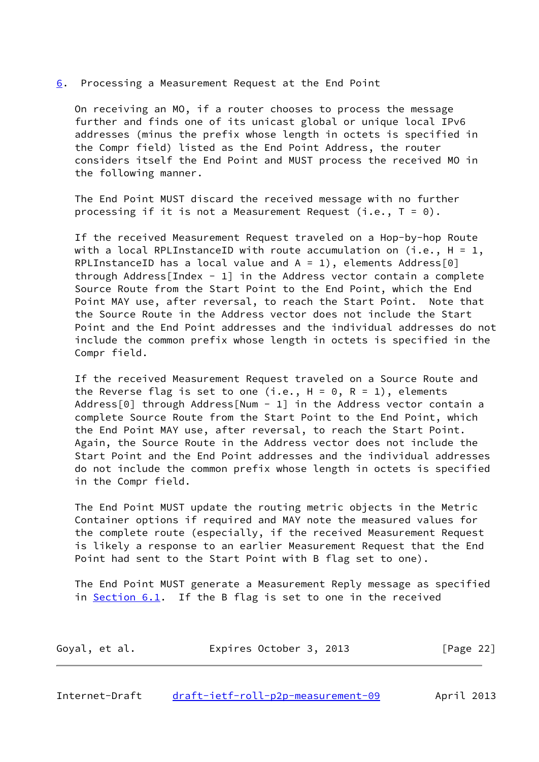#### <span id="page-24-0"></span>[6](#page-24-0). Processing a Measurement Request at the End Point

 On receiving an MO, if a router chooses to process the message further and finds one of its unicast global or unique local IPv6 addresses (minus the prefix whose length in octets is specified in the Compr field) listed as the End Point Address, the router considers itself the End Point and MUST process the received MO in the following manner.

 The End Point MUST discard the received message with no further processing if it is not a Measurement Request (i.e.,  $T = 0$ ).

 If the received Measurement Request traveled on a Hop-by-hop Route with a local RPLInstanceID with route accumulation on (i.e.,  $H = 1$ , RPLInstanceID has a local value and  $A = 1$ ), elements Address[0] through Address [Index - 1] in the Address vector contain a complete Source Route from the Start Point to the End Point, which the End Point MAY use, after reversal, to reach the Start Point. Note that the Source Route in the Address vector does not include the Start Point and the End Point addresses and the individual addresses do not include the common prefix whose length in octets is specified in the Compr field.

 If the received Measurement Request traveled on a Source Route and the Reverse flag is set to one (i.e.,  $H = 0$ ,  $R = 1$ ), elements Address[0] through Address[Num - 1] in the Address vector contain a complete Source Route from the Start Point to the End Point, which the End Point MAY use, after reversal, to reach the Start Point. Again, the Source Route in the Address vector does not include the Start Point and the End Point addresses and the individual addresses do not include the common prefix whose length in octets is specified in the Compr field.

 The End Point MUST update the routing metric objects in the Metric Container options if required and MAY note the measured values for the complete route (especially, if the received Measurement Request is likely a response to an earlier Measurement Request that the End Point had sent to the Start Point with B flag set to one).

 The End Point MUST generate a Measurement Reply message as specified in [Section 6.1](#page-25-0). If the B flag is set to one in the received

| Expires October 3, 2013<br>Goyal, et al. | [Page 22] |
|------------------------------------------|-----------|
|------------------------------------------|-----------|

<span id="page-24-1"></span>Internet-Draft [draft-ietf-roll-p2p-measurement-09](https://datatracker.ietf.org/doc/pdf/draft-ietf-roll-p2p-measurement-09) April 2013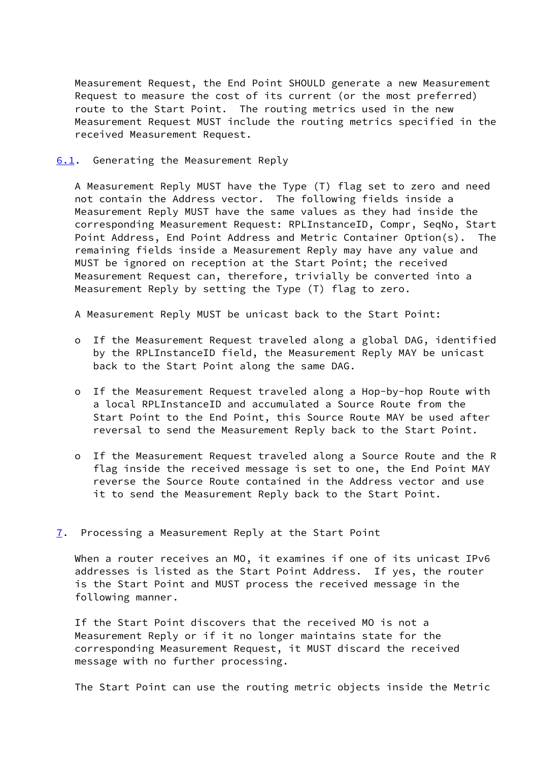Measurement Request, the End Point SHOULD generate a new Measurement Request to measure the cost of its current (or the most preferred) route to the Start Point. The routing metrics used in the new Measurement Request MUST include the routing metrics specified in the received Measurement Request.

<span id="page-25-0"></span>[6.1](#page-25-0). Generating the Measurement Reply

 A Measurement Reply MUST have the Type (T) flag set to zero and need not contain the Address vector. The following fields inside a Measurement Reply MUST have the same values as they had inside the corresponding Measurement Request: RPLInstanceID, Compr, SeqNo, Start Point Address, End Point Address and Metric Container Option(s). The remaining fields inside a Measurement Reply may have any value and MUST be ignored on reception at the Start Point; the received Measurement Request can, therefore, trivially be converted into a Measurement Reply by setting the Type (T) flag to zero.

A Measurement Reply MUST be unicast back to the Start Point:

- o If the Measurement Request traveled along a global DAG, identified by the RPLInstanceID field, the Measurement Reply MAY be unicast back to the Start Point along the same DAG.
- o If the Measurement Request traveled along a Hop-by-hop Route with a local RPLInstanceID and accumulated a Source Route from the Start Point to the End Point, this Source Route MAY be used after reversal to send the Measurement Reply back to the Start Point.
- o If the Measurement Request traveled along a Source Route and the R flag inside the received message is set to one, the End Point MAY reverse the Source Route contained in the Address vector and use it to send the Measurement Reply back to the Start Point.
- <span id="page-25-1"></span>[7](#page-25-1). Processing a Measurement Reply at the Start Point

 When a router receives an MO, it examines if one of its unicast IPv6 addresses is listed as the Start Point Address. If yes, the router is the Start Point and MUST process the received message in the following manner.

 If the Start Point discovers that the received MO is not a Measurement Reply or if it no longer maintains state for the corresponding Measurement Request, it MUST discard the received message with no further processing.

The Start Point can use the routing metric objects inside the Metric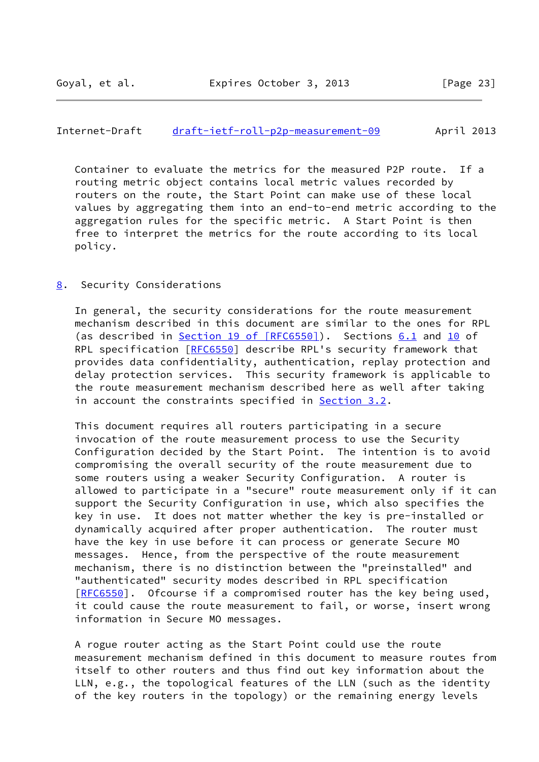## <span id="page-26-1"></span>Internet-Draft [draft-ietf-roll-p2p-measurement-09](https://datatracker.ietf.org/doc/pdf/draft-ietf-roll-p2p-measurement-09) April 2013

 Container to evaluate the metrics for the measured P2P route. If a routing metric object contains local metric values recorded by routers on the route, the Start Point can make use of these local values by aggregating them into an end-to-end metric according to the aggregation rules for the specific metric. A Start Point is then free to interpret the metrics for the route according to its local policy.

#### <span id="page-26-0"></span>[8](#page-26-0). Security Considerations

 In general, the security considerations for the route measurement mechanism described in this document are similar to the ones for RPL (as described in Section [19 of \[RFC6550\]](https://datatracker.ietf.org/doc/pdf/rfc6550#section-19)). Sections [6.1](#page-25-0) and [10](#page-28-0) of RPL specification [[RFC6550](https://datatracker.ietf.org/doc/pdf/rfc6550)] describe RPL's security framework that provides data confidentiality, authentication, replay protection and delay protection services. This security framework is applicable to the route measurement mechanism described here as well after taking in account the constraints specified in [Section 3.2](#page-11-0).

 This document requires all routers participating in a secure invocation of the route measurement process to use the Security Configuration decided by the Start Point. The intention is to avoid compromising the overall security of the route measurement due to some routers using a weaker Security Configuration. A router is allowed to participate in a "secure" route measurement only if it can support the Security Configuration in use, which also specifies the key in use. It does not matter whether the key is pre-installed or dynamically acquired after proper authentication. The router must have the key in use before it can process or generate Secure MO messages. Hence, from the perspective of the route measurement mechanism, there is no distinction between the "preinstalled" and "authenticated" security modes described in RPL specification [\[RFC6550](https://datatracker.ietf.org/doc/pdf/rfc6550)]. Ofcourse if a compromised router has the key being used, it could cause the route measurement to fail, or worse, insert wrong information in Secure MO messages.

 A rogue router acting as the Start Point could use the route measurement mechanism defined in this document to measure routes from itself to other routers and thus find out key information about the LLN, e.g., the topological features of the LLN (such as the identity of the key routers in the topology) or the remaining energy levels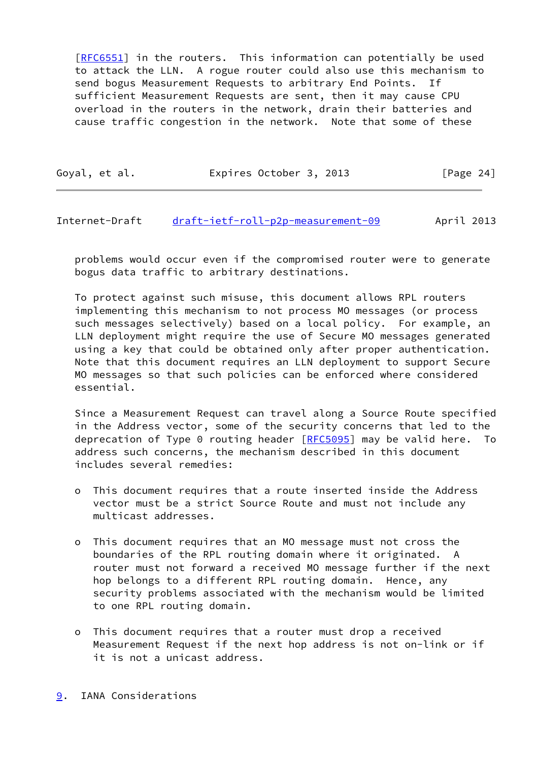[\[RFC6551](https://datatracker.ietf.org/doc/pdf/rfc6551)] in the routers. This information can potentially be used to attack the LLN. A rogue router could also use this mechanism to send bogus Measurement Requests to arbitrary End Points. If sufficient Measurement Requests are sent, then it may cause CPU overload in the routers in the network, drain their batteries and cause traffic congestion in the network. Note that some of these

| Goyal, et al. | Expires October 3, 2013 | [Page 24] |
|---------------|-------------------------|-----------|
|               |                         |           |

<span id="page-27-1"></span>Internet-Draft [draft-ietf-roll-p2p-measurement-09](https://datatracker.ietf.org/doc/pdf/draft-ietf-roll-p2p-measurement-09) April 2013

 problems would occur even if the compromised router were to generate bogus data traffic to arbitrary destinations.

 To protect against such misuse, this document allows RPL routers implementing this mechanism to not process MO messages (or process such messages selectively) based on a local policy. For example, an LLN deployment might require the use of Secure MO messages generated using a key that could be obtained only after proper authentication. Note that this document requires an LLN deployment to support Secure MO messages so that such policies can be enforced where considered essential.

 Since a Measurement Request can travel along a Source Route specified in the Address vector, some of the security concerns that led to the deprecation of Type  $0$  routing header  $[RECS095]$  may be valid here. To address such concerns, the mechanism described in this document includes several remedies:

- o This document requires that a route inserted inside the Address vector must be a strict Source Route and must not include any multicast addresses.
- o This document requires that an MO message must not cross the boundaries of the RPL routing domain where it originated. A router must not forward a received MO message further if the next hop belongs to a different RPL routing domain. Hence, any security problems associated with the mechanism would be limited to one RPL routing domain.
- <span id="page-27-0"></span> o This document requires that a router must drop a received Measurement Request if the next hop address is not on-link or if it is not a unicast address.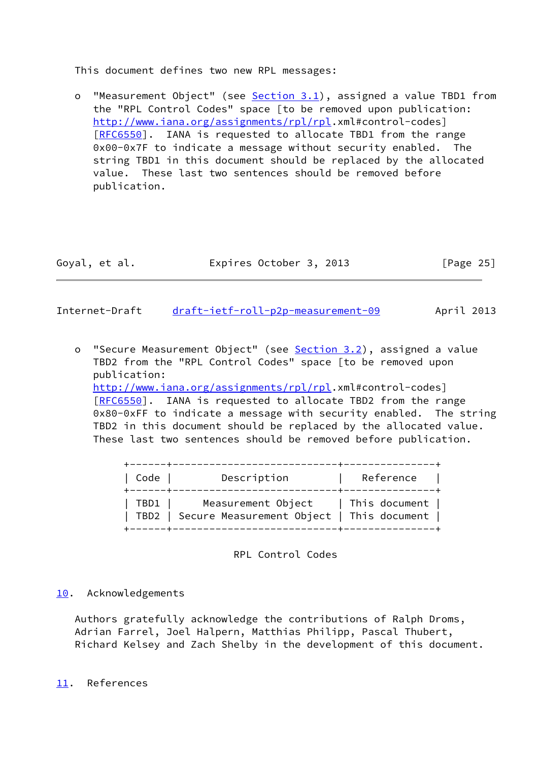This document defines two new RPL messages:

o "Measurement Object" (see [Section 3.1](#page-5-2)), assigned a value TBD1 from the "RPL Control Codes" space [to be removed upon publication: <http://www.iana.org/assignments/rpl/rpl>.xml#control-codes] [[RFC6550\]](https://datatracker.ietf.org/doc/pdf/rfc6550). IANA is requested to allocate TBD1 from the range 0x00-0x7F to indicate a message without security enabled. The string TBD1 in this document should be replaced by the allocated value. These last two sentences should be removed before publication.

| Goyal, et al. | Expires October 3, 2013 | [Page 25] |
|---------------|-------------------------|-----------|
|---------------|-------------------------|-----------|

<span id="page-28-1"></span>Internet-Draft [draft-ietf-roll-p2p-measurement-09](https://datatracker.ietf.org/doc/pdf/draft-ietf-roll-p2p-measurement-09) April 2013

 o "Secure Measurement Object" (see [Section 3.2\)](#page-11-0), assigned a value TBD2 from the "RPL Control Codes" space [to be removed upon publication: <http://www.iana.org/assignments/rpl/rpl>.xml#control-codes] [[RFC6550\]](https://datatracker.ietf.org/doc/pdf/rfc6550). IANA is requested to allocate TBD2 from the range 0x80-0xFF to indicate a message with security enabled. The string TBD2 in this document should be replaced by the allocated value. These last two sentences should be removed before publication.

| -------+------<br>Code | Description                                                                                       | -------------+-------------<br>Reference |
|------------------------|---------------------------------------------------------------------------------------------------|------------------------------------------|
|                        | TBD1   Measurement Object   This document  <br>  TBD2   Secure Measurement Object   This document |                                          |

RPL Control Codes

# <span id="page-28-0"></span>[10.](#page-28-0) Acknowledgements

 Authors gratefully acknowledge the contributions of Ralph Droms, Adrian Farrel, Joel Halpern, Matthias Philipp, Pascal Thubert, Richard Kelsey and Zach Shelby in the development of this document.

<span id="page-28-2"></span>[11.](#page-28-2) References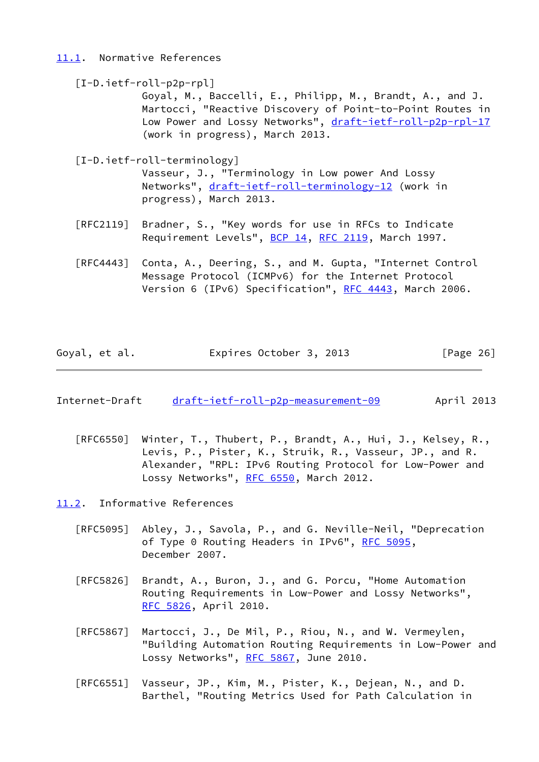## <span id="page-29-0"></span>[11.1](#page-29-0). Normative References

<span id="page-29-3"></span>

| [I-D.ietf-roll-p2p-rpl]                                   |
|-----------------------------------------------------------|
| Goyal, M., Baccelli, E., Philipp, M., Brandt, A., and J.  |
| Martocci, "Reactive Discovery of Point-to-Point Routes in |
| Low Power and Lossy Networks", draft-ietf-roll-p2p-rpl-17 |
| (work in progress), March 2013.                           |
|                                                           |

<span id="page-29-4"></span>[I-D.ietf-roll-terminology]

 Vasseur, J., "Terminology in Low power And Lossy Networks", [draft-ietf-roll-terminology-12](https://datatracker.ietf.org/doc/pdf/draft-ietf-roll-terminology-12) (work in progress), March 2013.

- [RFC2119] Bradner, S., "Key words for use in RFCs to Indicate Requirement Levels", [BCP 14](https://datatracker.ietf.org/doc/pdf/bcp14), [RFC 2119](https://datatracker.ietf.org/doc/pdf/rfc2119), March 1997.
- [RFC4443] Conta, A., Deering, S., and M. Gupta, "Internet Control Message Protocol (ICMPv6) for the Internet Protocol Version 6 (IPv6) Specification", [RFC 4443,](https://datatracker.ietf.org/doc/pdf/rfc4443) March 2006.

| Goyal, et al. | Expires October 3, 2013 | [Page 26] |
|---------------|-------------------------|-----------|
|---------------|-------------------------|-----------|

- <span id="page-29-2"></span>Internet-Draft [draft-ietf-roll-p2p-measurement-09](https://datatracker.ietf.org/doc/pdf/draft-ietf-roll-p2p-measurement-09) April 2013
	- [RFC6550] Winter, T., Thubert, P., Brandt, A., Hui, J., Kelsey, R., Levis, P., Pister, K., Struik, R., Vasseur, JP., and R. Alexander, "RPL: IPv6 Routing Protocol for Low-Power and Lossy Networks", [RFC 6550,](https://datatracker.ietf.org/doc/pdf/rfc6550) March 2012.

<span id="page-29-1"></span>[11.2](#page-29-1). Informative References

- [RFC5095] Abley, J., Savola, P., and G. Neville-Neil, "Deprecation of Type 0 Routing Headers in IPv6", [RFC 5095,](https://datatracker.ietf.org/doc/pdf/rfc5095) December 2007.
- [RFC5826] Brandt, A., Buron, J., and G. Porcu, "Home Automation Routing Requirements in Low-Power and Lossy Networks", [RFC 5826,](https://datatracker.ietf.org/doc/pdf/rfc5826) April 2010.
- [RFC5867] Martocci, J., De Mil, P., Riou, N., and W. Vermeylen, "Building Automation Routing Requirements in Low-Power and Lossy Networks", [RFC 5867,](https://datatracker.ietf.org/doc/pdf/rfc5867) June 2010.
- [RFC6551] Vasseur, JP., Kim, M., Pister, K., Dejean, N., and D. Barthel, "Routing Metrics Used for Path Calculation in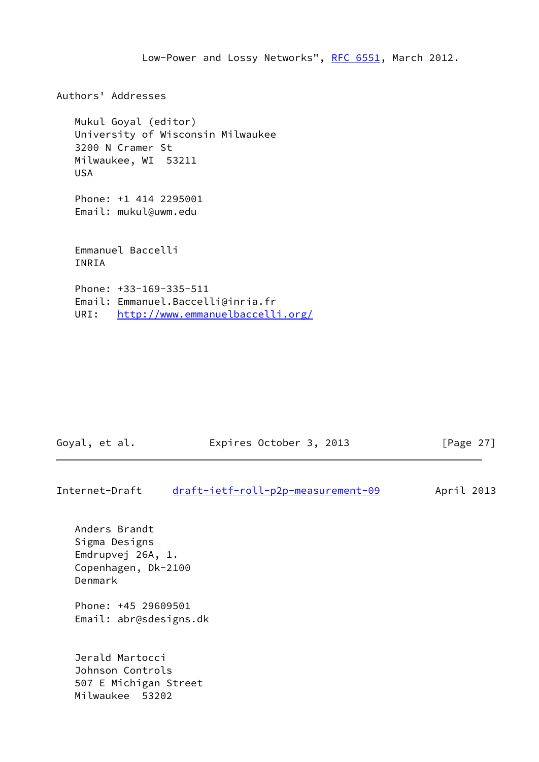Low-Power and Lossy Networks", [RFC 6551](https://datatracker.ietf.org/doc/pdf/rfc6551), March 2012. Authors' Addresses Mukul Goyal (editor) University of Wisconsin Milwaukee 3200 N Cramer St Milwaukee, WI 53211 USA Phone: +1 414 2295001 Email: mukul@uwm.edu Emmanuel Baccelli INRIA Phone: +33-169-335-511 Email: Emmanuel.Baccelli@inria.fr URI: <http://www.emmanuelbaccelli.org/>

| Goyal, et al.  | Expires October 3, 2013            | [Page $27$ ] |
|----------------|------------------------------------|--------------|
| Internet-Draft | draft-ietf-roll-p2p-measurement-09 | April 2013   |
| Anders Brandt  |                                    |              |

 Sigma Designs Emdrupvej 26A, 1. Copenhagen, Dk-2100 Denmark

 Phone: +45 29609501 Email: abr@sdesigns.dk

 Jerald Martocci Johnson Controls 507 E Michigan Street Milwaukee 53202